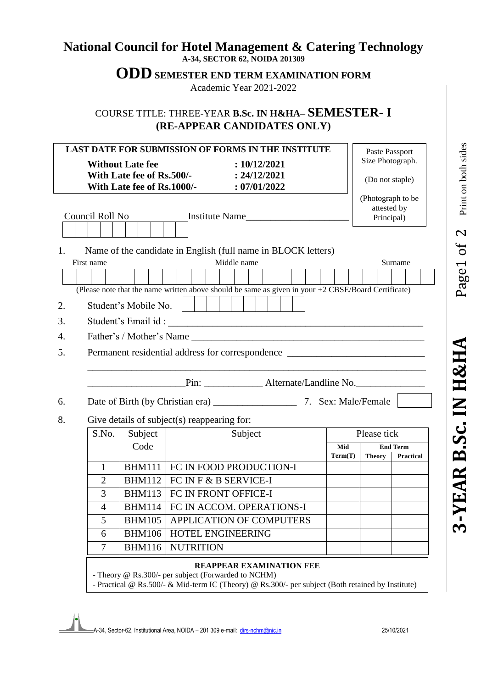## **National Council for Hotel Management & Catering Technology A-34, SECTOR 62, NOIDA 201309**

**ODD SEMESTER END TERM EXAMINATION FORM**

Academic Year 2021-2022

COURSE TITLE: THREE-YEAR **B.Sc. IN H&HA– SEMESTER- I (RE-APPEAR CANDIDATES ONLY)**

| <b>LAST DATE FOR SUBMISSION OF FORMS IN THE INSTITUTE</b> |                                                         |                                    |                                                                                                                                                                                      |             |                | Paste Passport                                 |                              |  |
|-----------------------------------------------------------|---------------------------------------------------------|------------------------------------|--------------------------------------------------------------------------------------------------------------------------------------------------------------------------------------|-------------|----------------|------------------------------------------------|------------------------------|--|
|                                                           | <b>Without Late fee</b>                                 |                                    | : 10/12/2021                                                                                                                                                                         |             |                | Size Photograph.                               |                              |  |
|                                                           | With Late fee of Rs.500/-<br>With Late fee of Rs.1000/- |                                    | : 24/12/2021<br>: 07/01/2022                                                                                                                                                         |             |                | (Do not staple)                                |                              |  |
| Council Roll No                                           |                                                         |                                    | Institute Name                                                                                                                                                                       |             |                | (Photograph to be<br>attested by<br>Principal) |                              |  |
| 1.                                                        |                                                         |                                    | Name of the candidate in English (full name in BLOCK letters)                                                                                                                        |             |                |                                                |                              |  |
| First name                                                |                                                         |                                    | Middle name                                                                                                                                                                          |             |                |                                                | Surname                      |  |
|                                                           |                                                         |                                    |                                                                                                                                                                                      |             |                |                                                |                              |  |
|                                                           |                                                         |                                    | (Please note that the name written above should be same as given in your $+2$ CBSE/Board Certificate)                                                                                |             |                |                                                |                              |  |
| 2.                                                        | Student's Mobile No.                                    |                                    |                                                                                                                                                                                      |             |                |                                                |                              |  |
| 3.                                                        |                                                         |                                    |                                                                                                                                                                                      |             |                |                                                |                              |  |
| 4.                                                        |                                                         |                                    |                                                                                                                                                                                      |             |                |                                                |                              |  |
| 5.                                                        | Permanent residential address for correspondence        |                                    |                                                                                                                                                                                      |             |                |                                                |                              |  |
| 6.                                                        |                                                         |                                    | Pin: ________________ Alternate/Landline No.                                                                                                                                         |             |                |                                                |                              |  |
| 8.                                                        | Give details of subject(s) reappearing for:             |                                    |                                                                                                                                                                                      |             |                |                                                |                              |  |
| S.No.                                                     |                                                         | Subject<br>Subject                 |                                                                                                                                                                                      | Please tick |                |                                                |                              |  |
|                                                           | Code                                                    |                                    |                                                                                                                                                                                      |             | Mid<br>Term(T) | <b>Theory</b>                                  | <b>End Term</b><br>Practical |  |
| $\mathbf{1}$                                              | <b>BHM111</b>                                           |                                    | FC IN FOOD PRODUCTION-I                                                                                                                                                              |             |                |                                                |                              |  |
| $\overline{2}$                                            | <b>BHM112</b>                                           | FC IN F & B SERVICE-I              |                                                                                                                                                                                      |             |                |                                                |                              |  |
| 3                                                         | <b>BHM113</b>                                           | FC IN FRONT OFFICE-I               |                                                                                                                                                                                      |             |                |                                                |                              |  |
| $\overline{4}$                                            |                                                         | BHM114   FC IN ACCOM. OPERATIONS-I |                                                                                                                                                                                      |             |                |                                                |                              |  |
| 5                                                         | <b>BHM105</b>                                           | APPLICATION OF COMPUTERS           |                                                                                                                                                                                      |             |                |                                                |                              |  |
| 6                                                         | <b>BHM106</b>                                           | HOTEL ENGINEERING                  |                                                                                                                                                                                      |             |                |                                                |                              |  |
| 7                                                         | <b>BHM116</b>                                           | <b>NUTRITION</b>                   |                                                                                                                                                                                      |             |                |                                                |                              |  |
|                                                           |                                                         |                                    | REAPPEAR EXAMINATION FEE<br>- Theory @ Rs.300/- per subject (Forwarded to NCHM)<br>- Practical @ Rs.500/- & Mid-term IC (Theory) @ Rs.300/- per subject (Both retained by Institute) |             |                |                                                |                              |  |

Page1 of 2

 $1 of 2$  Print on both sides

Print on both sides